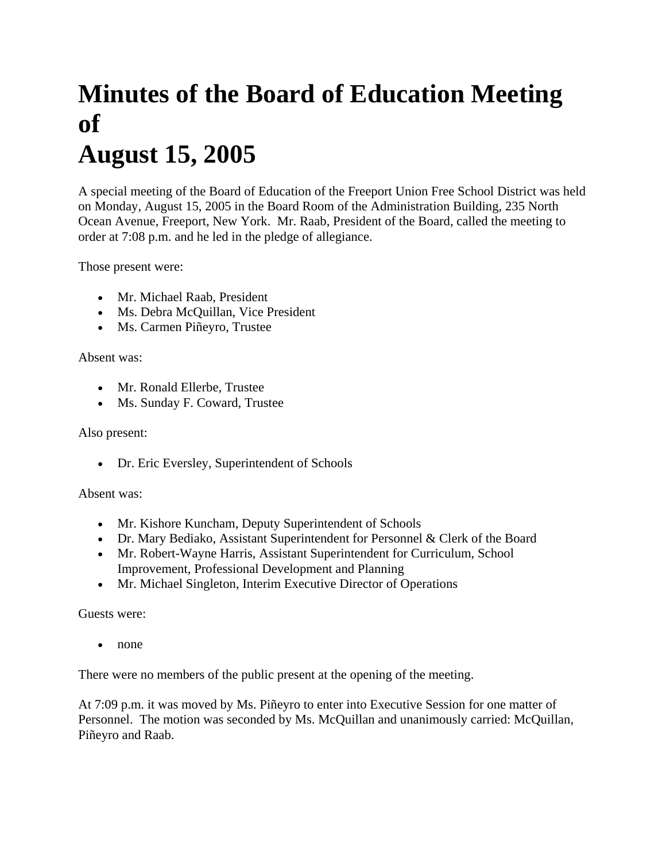## **Minutes of the Board of Education Meeting of August 15, 2005**

A special meeting of the Board of Education of the Freeport Union Free School District was held on Monday, August 15, 2005 in the Board Room of the Administration Building, 235 North Ocean Avenue, Freeport, New York. Mr. Raab, President of the Board, called the meeting to order at 7:08 p.m. and he led in the pledge of allegiance.

Those present were:

- Mr. Michael Raab, President
- Ms. Debra McQuillan, Vice President
- Ms. Carmen Piñeyro, Trustee

Absent was:

- Mr. Ronald Ellerbe, Trustee
- Ms. Sunday F. Coward, Trustee

## Also present:

• Dr. Eric Eversley, Superintendent of Schools

## Absent was:

- Mr. Kishore Kuncham, Deputy Superintendent of Schools
- Dr. Mary Bediako, Assistant Superintendent for Personnel & Clerk of the Board
- Mr. Robert-Wayne Harris, Assistant Superintendent for Curriculum, School Improvement, Professional Development and Planning
- Mr. Michael Singleton, Interim Executive Director of Operations

Guests were:

• none

There were no members of the public present at the opening of the meeting.

At 7:09 p.m. it was moved by Ms. Piñeyro to enter into Executive Session for one matter of Personnel. The motion was seconded by Ms. McQuillan and unanimously carried: McQuillan, Piñeyro and Raab.